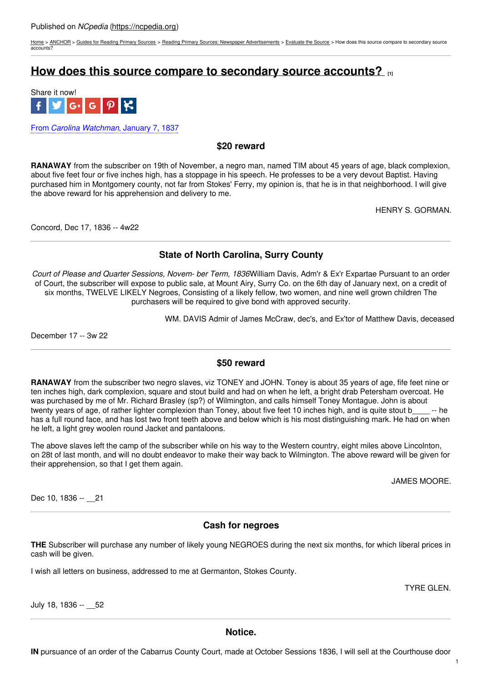[Home](https://ncpedia.org/) > [ANCHOR](https://ncpedia.org/anchor/anchor) > Guides for [Reading](https://ncpedia.org/anchor/guides-reading-primary) Primary Sources > Reading Primary Sources: Newspaper [Advertisements](https://ncpedia.org/anchor/reading-primary-sources-3) > [Evaluate](https://ncpedia.org/anchor/evaluate-source) the Source > How does this source compare to secondary source accounts?

# **How does this source compare to [secondary](https://ncpedia.org/anchor/how-does-source-compare-2) source accounts? [1]**



From *Carolina Watchman*, January 7, 1837

**\$20 reward**

**RANAWAY** from the subscriber on 19th of November, a negro man, named TIM about 45 years of age, black complexion, about five feet four or five inches high, has a stoppage in his speech. He professes to be a very devout Baptist. Having purchased him in Montgomery county, not far from Stokes' Ferry, my opinion is, that he is in that neighborhood. I will give the above reward for his apprehension and delivery to me.

HENRY S. GORMAN.

Concord, Dec 17, 1836 -- 4w22

# **State of North Carolina, Surry County**

*Court of Please and Quarter Sessions, Novem- ber Term, 1836*William Davis, Adm'r & Ex'r Expartae Pursuant to an order of Court, the subscriber will expose to public sale, at Mount Airy, Surry Co. on the 6th day of January next, on a credit of six months, TWELVE LIKELY Negroes, Consisting of a likely fellow, two women, and nine well grown children The purchasers will be required to give bond with approved security.

WM. DAVIS Admir of James McCraw, dec's, and Ex'tor of Matthew Davis, deceased

December 17 -- 3w 22

### **\$50 reward**

**RANAWAY** from the subscriber two negro slaves, viz TONEY and JOHN. Toney is about 35 years of age, fife feet nine or ten inches high, dark complexion, square and stout build and had on when he left, a bright drab Petersham overcoat. He was purchased by me of Mr. Richard Brasley (sp?) of Wilmington, and calls himself Toney Montague. John is about twenty years of age, of rather lighter complexion than Toney, about five feet 10 inches high, and is quite stout b -- he has a full round face, and has lost two front teeth above and below which is his most distinguishing mark. He had on when he left, a light grey woolen round Jacket and pantaloons.

The above slaves left the camp of the subscriber while on his way to the Western country, eight miles above Lincolnton, on 28t of last month, and will no doubt endeavor to make their way back to Wilmington. The above reward will be given for their apprehension, so that I get them again.

JAMES MOORE.

Dec 10, 1836 -- 21

## **Cash for negroes**

**THE** Subscriber will purchase any number of likely young NEGROES during the next six months, for which liberal prices in cash will be given.

I wish all letters on business, addressed to me at Germanton, Stokes County.

TYRE GLEN.

July 18, 1836 -- \_\_52

### **Notice.**

**IN** pursuance of an order of the Cabarrus County Court, made at October Sessions 1836, I will sell at the Courthouse door